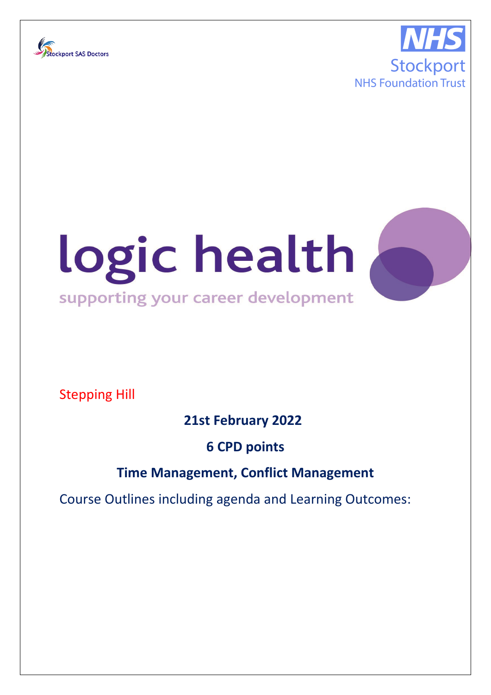





Stepping Hill

**21st February 2022** 

**6 CPD points**

## **Time Management, Conflict Management**

Course Outlines including agenda and Learning Outcomes: